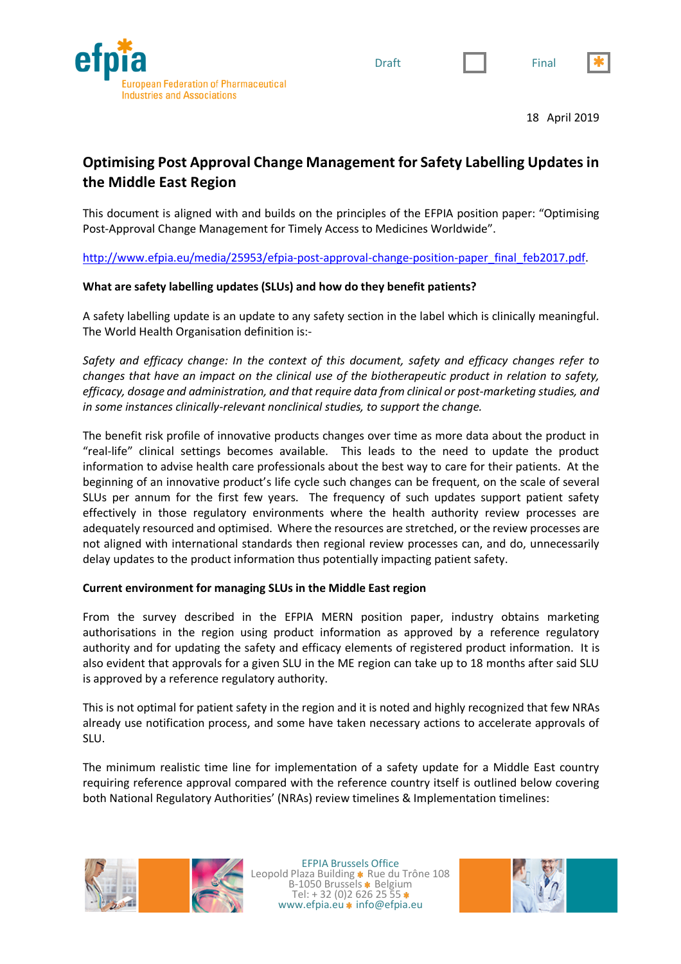





18 April 2019

# **Optimising Post Approval Change Management for Safety Labelling Updates in the Middle East Region**

This document is aligned with and builds on the principles of the EFPIA position paper: "Optimising Post-Approval Change Management for Timely Access to Medicines Worldwide".

http://www.efpia.eu/media/25953/efpia-post-approval-change-position-paper\_final\_feb2017.pdf.

#### **What are safety labelling updates (SLUs) and how do they benefit patients?**

A safety labelling update is an update to any safety section in the label which is clinically meaningful. The World Health Organisation definition is:-

*Safety and efficacy change: In the context of this document, safety and efficacy changes refer to changes that have an impact on the clinical use of the biotherapeutic product in relation to safety, efficacy, dosage and administration, and that require data from clinical or post-marketing studies, and in some instances clinically-relevant nonclinical studies, to support the change.* 

The benefit risk profile of innovative products changes over time as more data about the product in "real-life" clinical settings becomes available. This leads to the need to update the product information to advise health care professionals about the best way to care for their patients. At the beginning of an innovative product's life cycle such changes can be frequent, on the scale of several SLUs per annum for the first few years. The frequency of such updates support patient safety effectively in those regulatory environments where the health authority review processes are adequately resourced and optimised. Where the resources are stretched, or the review processes are not aligned with international standards then regional review processes can, and do, unnecessarily delay updates to the product information thus potentially impacting patient safety.

## **Current environment for managing SLUs in the Middle East region**

From the survey described in the EFPIA MERN position paper, industry obtains marketing authorisations in the region using product information as approved by a reference regulatory authority and for updating the safety and efficacy elements of registered product information. It is also evident that approvals for a given SLU in the ME region can take up to 18 months after said SLU is approved by a reference regulatory authority.

This is not optimal for patient safety in the region and it is noted and highly recognized that few NRAs already use notification process, and some have taken necessary actions to accelerate approvals of SLU.

The minimum realistic time line for implementation of a safety update for a Middle East country requiring reference approval compared with the reference country itself is outlined below covering both National Regulatory Authorities' (NRAs) review timelines & Implementation timelines:



EFPIA Brussels Office Leopold Plaza Building \* Rue du Trône 108 B-1050 Brussels \* Belgium Tel:  $+32(0)26262555*$ www.efpia.eu \* info@efpia.eu

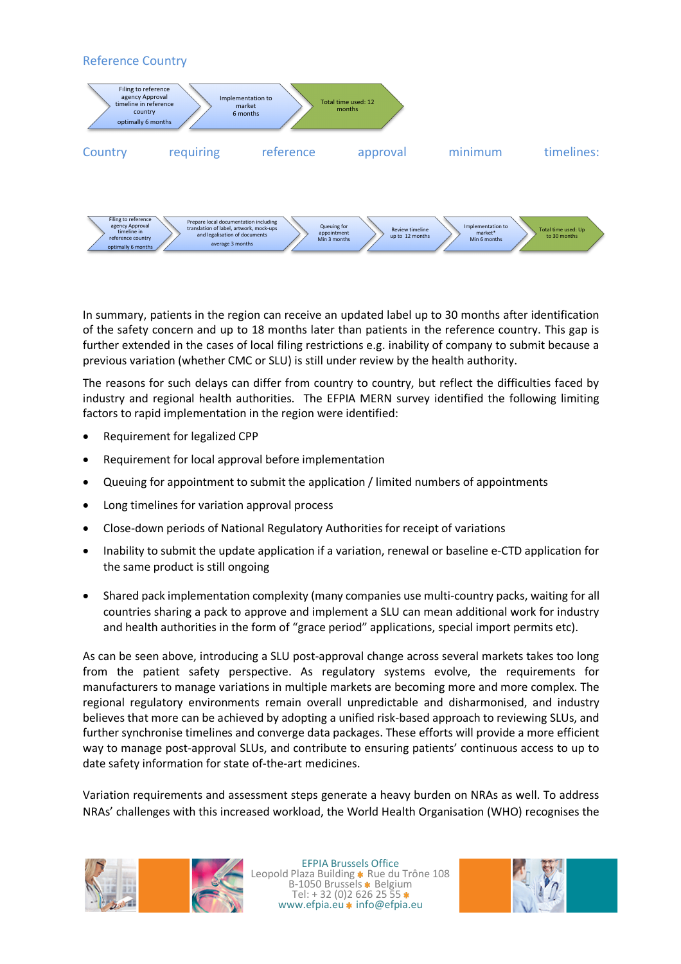

In summary, patients in the region can receive an updated label up to 30 months after identification of the safety concern and up to 18 months later than patients in the reference country. This gap is further extended in the cases of local filing restrictions e.g. inability of company to submit because a previous variation (whether CMC or SLU) is still under review by the health authority.

The reasons for such delays can differ from country to country, but reflect the difficulties faced by industry and regional health authorities. The EFPIA MERN survey identified the following limiting factors to rapid implementation in the region were identified:

- Requirement for legalized CPP
- Requirement for local approval before implementation
- Queuing for appointment to submit the application / limited numbers of appointments
- Long timelines for variation approval process
- Close-down periods of National Regulatory Authorities for receipt of variations
- Inability to submit the update application if a variation, renewal or baseline e-CTD application for the same product is still ongoing
- Shared pack implementation complexity (many companies use multi-country packs, waiting for all countries sharing a pack to approve and implement a SLU can mean additional work for industry and health authorities in the form of "grace period" applications, special import permits etc).

As can be seen above, introducing a SLU post-approval change across several markets takes too long from the patient safety perspective. As regulatory systems evolve, the requirements for manufacturers to manage variations in multiple markets are becoming more and more complex. The regional regulatory environments remain overall unpredictable and disharmonised, and industry believes that more can be achieved by adopting a unified risk-based approach to reviewing SLUs, and further synchronise timelines and converge data packages. These efforts will provide a more efficient way to manage post-approval SLUs, and contribute to ensuring patients' continuous access to up to date safety information for state of-the-art medicines.

Variation requirements and assessment steps generate a heavy burden on NRAs as well. To address NRAs' challenges with this increased workload, the World Health Organisation (WHO) recognises the



EFPIA Brussels Office Leopold Plaza Building \* Rue du Trône 108 B-1050 Brussels \* Belgium Tel:  $+32(0)26262555*$ www.efpia.eu \* info@efpia.eu

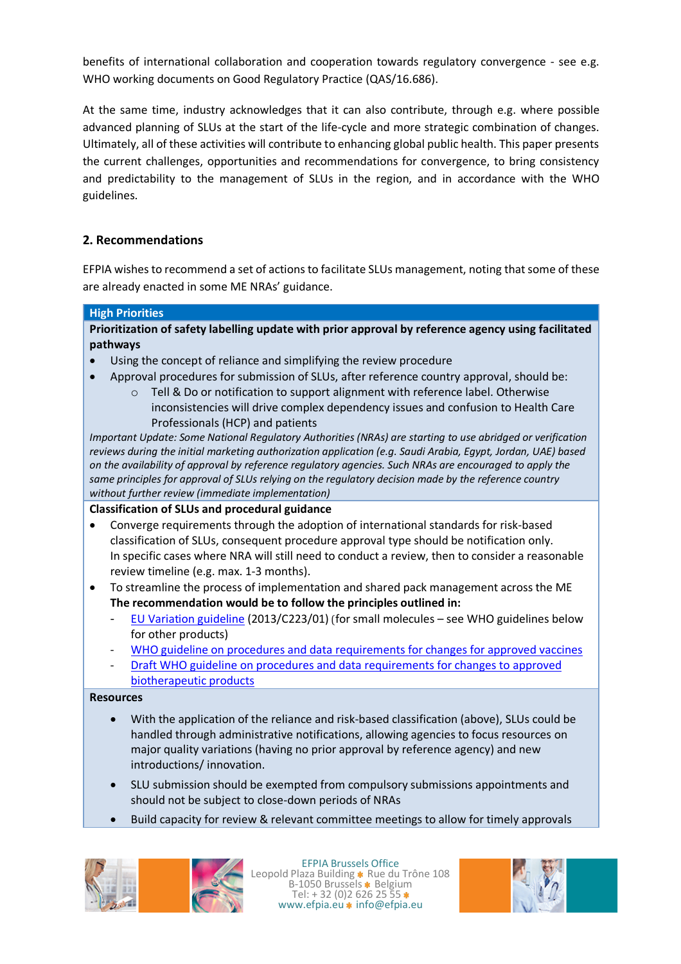benefits of international collaboration and cooperation towards regulatory convergence - see e.g. WHO working documents on Good Regulatory Practice (QAS/16.686).

At the same time, industry acknowledges that it can also contribute, through e.g. where possible advanced planning of SLUs at the start of the life-cycle and more strategic combination of changes. Ultimately, all of these activities will contribute to enhancing global public health. This paper presents the current challenges, opportunities and recommendations for convergence, to bring consistency and predictability to the management of SLUs in the region, and in accordance with the WHO guidelines.

# **2. Recommendations**

EFPIA wishes to recommend a set of actions to facilitate SLUs management, noting that some of these are already enacted in some ME NRAs' guidance.

#### **High Priorities**

**Prioritization of safety labelling update with prior approval by reference agency using facilitated pathways**

- Using the concept of reliance and simplifying the review procedure
- Approval procedures for submission of SLUs, after reference country approval, should be:
	- o Tell & Do or notification to support alignment with reference label. Otherwise inconsistencies will drive complex dependency issues and confusion to Health Care Professionals (HCP) and patients

*Important Update: Some National Regulatory Authorities (NRAs) are starting to use abridged or verification reviews during the initial marketing authorization application (e.g. Saudi Arabia, Egypt, Jordan, UAE) based on the availability of approval by reference regulatory agencies. Such NRAs are encouraged to apply the same principles for approval of SLUs relying on the regulatory decision made by the reference country without further review (immediate implementation)*

#### **Classification of SLUs and procedural guidance**

- Converge requirements through the adoption of international standards for risk-based classification of SLUs, consequent procedure approval type should be notification only. In specific cases where NRA will still need to conduct a review, then to consider a reasonable review timeline (e.g. max. 1-3 months).
- To streamline the process of implementation and shared pack management across the ME **The recommendation would be to follow the principles outlined in:**
	- EU Variation guideline (2013/C223/01) (for small molecules see WHO guidelines below for other products)
	- WHO guideline on procedures and data requirements for changes for approved vaccines
	- Draft WHO guideline on procedures and data requirements for changes to approved
	- biotherapeutic products

**Resources**

- With the application of the reliance and risk-based classification (above), SLUs could be handled through administrative notifications, allowing agencies to focus resources on major quality variations (having no prior approval by reference agency) and new introductions/ innovation.
- SLU submission should be exempted from compulsory submissions appointments and should not be subject to close-down periods of NRAs
- Build capacity for review & relevant committee meetings to allow for timely approvals